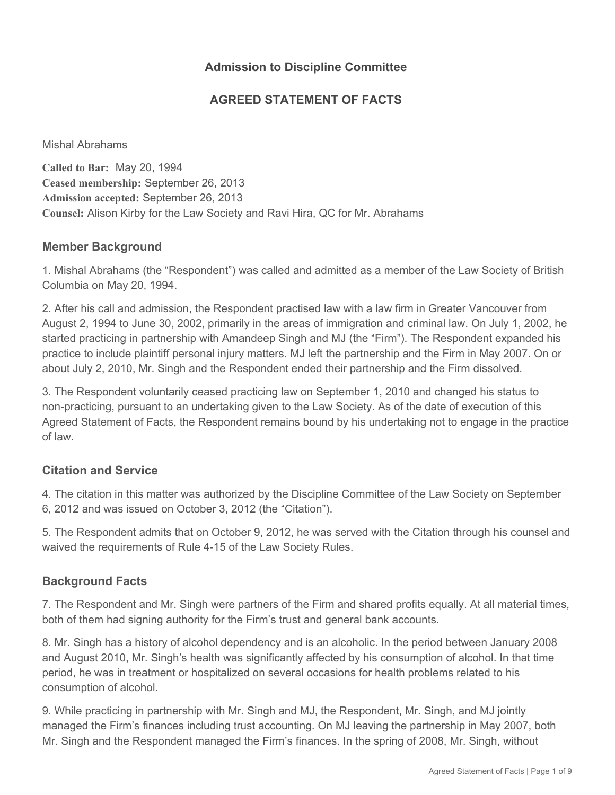## **Admission to Discipline Committee**

## **AGREED STATEMENT OF FACTS**

Mishal Abrahams

**Called to Bar:** May 20, 1994 **Ceased membership:** September 26, 2013 **Admission accepted:** September 26, 2013 **Counsel:** Alison Kirby for the Law Society and Ravi Hira, QC for Mr. Abrahams

#### **Member Background**

1. Mishal Abrahams (the "Respondent") was called and admitted as a member of the Law Society of British Columbia on May 20, 1994.

2. After his call and admission, the Respondent practised law with a law firm in Greater Vancouver from August 2, 1994 to June 30, 2002, primarily in the areas of immigration and criminal law. On July 1, 2002, he started practicing in partnership with Amandeep Singh and MJ (the "Firm"). The Respondent expanded his practice to include plaintiff personal injury matters. MJ left the partnership and the Firm in May 2007. On or about July 2, 2010, Mr. Singh and the Respondent ended their partnership and the Firm dissolved.

3. The Respondent voluntarily ceased practicing law on September 1, 2010 and changed his status to non-practicing, pursuant to an undertaking given to the Law Society. As of the date of execution of this Agreed Statement of Facts, the Respondent remains bound by his undertaking not to engage in the practice of law.

### **Citation and Service**

4. The citation in this matter was authorized by the Discipline Committee of the Law Society on September 6, 2012 and was issued on October 3, 2012 (the "Citation").

5. The Respondent admits that on October 9, 2012, he was served with the Citation through his counsel and waived the requirements of Rule 4-15 of the Law Society Rules.

### **Background Facts**

7. The Respondent and Mr. Singh were partners of the Firm and shared profits equally. At all material times, both of them had signing authority for the Firm's trust and general bank accounts.

8. Mr. Singh has a history of alcohol dependency and is an alcoholic. In the period between January 2008 and August 2010, Mr. Singh's health was significantly affected by his consumption of alcohol. In that time period, he was in treatment or hospitalized on several occasions for health problems related to his consumption of alcohol.

9. While practicing in partnership with Mr. Singh and MJ, the Respondent, Mr. Singh, and MJ jointly managed the Firm's finances including trust accounting. On MJ leaving the partnership in May 2007, both Mr. Singh and the Respondent managed the Firm's finances. In the spring of 2008, Mr. Singh, without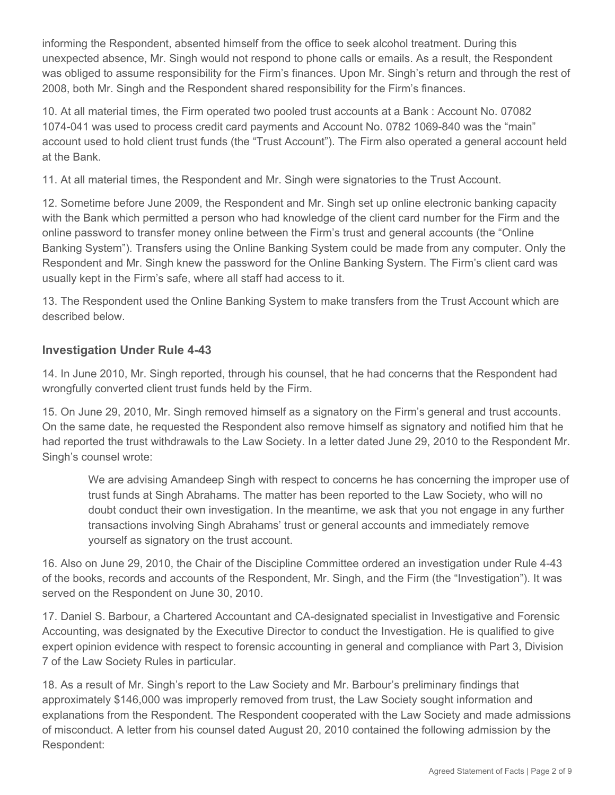informing the Respondent, absented himself from the office to seek alcohol treatment. During this unexpected absence, Mr. Singh would not respond to phone calls or emails. As a result, the Respondent was obliged to assume responsibility for the Firm's finances. Upon Mr. Singh's return and through the rest of 2008, both Mr. Singh and the Respondent shared responsibility for the Firm's finances.

10. At all material times, the Firm operated two pooled trust accounts at a Bank : Account No. 07082 1074-041 was used to process credit card payments and Account No. 0782 1069-840 was the "main" account used to hold client trust funds (the "Trust Account"). The Firm also operated a general account held at the Bank.

11. At all material times, the Respondent and Mr. Singh were signatories to the Trust Account.

12. Sometime before June 2009, the Respondent and Mr. Singh set up online electronic banking capacity with the Bank which permitted a person who had knowledge of the client card number for the Firm and the online password to transfer money online between the Firm's trust and general accounts (the "Online Banking System"). Transfers using the Online Banking System could be made from any computer. Only the Respondent and Mr. Singh knew the password for the Online Banking System. The Firm's client card was usually kept in the Firm's safe, where all staff had access to it.

13. The Respondent used the Online Banking System to make transfers from the Trust Account which are described below.

# **Investigation Under Rule 4-43**

14. In June 2010, Mr. Singh reported, through his counsel, that he had concerns that the Respondent had wrongfully converted client trust funds held by the Firm.

15. On June 29, 2010, Mr. Singh removed himself as a signatory on the Firm's general and trust accounts. On the same date, he requested the Respondent also remove himself as signatory and notified him that he had reported the trust withdrawals to the Law Society. In a letter dated June 29, 2010 to the Respondent Mr. Singh's counsel wrote:

We are advising Amandeep Singh with respect to concerns he has concerning the improper use of trust funds at Singh Abrahams. The matter has been reported to the Law Society, who will no doubt conduct their own investigation. In the meantime, we ask that you not engage in any further transactions involving Singh Abrahams' trust or general accounts and immediately remove yourself as signatory on the trust account.

16. Also on June 29, 2010, the Chair of the Discipline Committee ordered an investigation under Rule 4-43 of the books, records and accounts of the Respondent, Mr. Singh, and the Firm (the "Investigation"). It was served on the Respondent on June 30, 2010.

17. Daniel S. Barbour, a Chartered Accountant and CA-designated specialist in Investigative and Forensic Accounting, was designated by the Executive Director to conduct the Investigation. He is qualified to give expert opinion evidence with respect to forensic accounting in general and compliance with Part 3, Division 7 of the Law Society Rules in particular.

18. As a result of Mr. Singh's report to the Law Society and Mr. Barbour's preliminary findings that approximately \$146,000 was improperly removed from trust, the Law Society sought information and explanations from the Respondent. The Respondent cooperated with the Law Society and made admissions of misconduct. A letter from his counsel dated August 20, 2010 contained the following admission by the Respondent: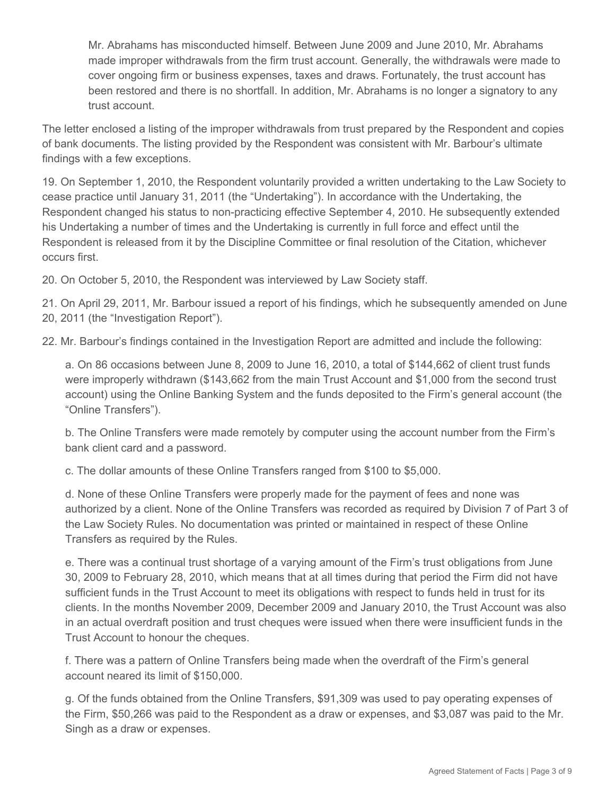Mr. Abrahams has misconducted himself. Between June 2009 and June 2010, Mr. Abrahams made improper withdrawals from the firm trust account. Generally, the withdrawals were made to cover ongoing firm or business expenses, taxes and draws. Fortunately, the trust account has been restored and there is no shortfall. In addition, Mr. Abrahams is no longer a signatory to any trust account.

The letter enclosed a listing of the improper withdrawals from trust prepared by the Respondent and copies of bank documents. The listing provided by the Respondent was consistent with Mr. Barbour's ultimate findings with a few exceptions.

19. On September 1, 2010, the Respondent voluntarily provided a written undertaking to the Law Society to cease practice until January 31, 2011 (the "Undertaking"). In accordance with the Undertaking, the Respondent changed his status to non-practicing effective September 4, 2010. He subsequently extended his Undertaking a number of times and the Undertaking is currently in full force and effect until the Respondent is released from it by the Discipline Committee or final resolution of the Citation, whichever occurs first.

20. On October 5, 2010, the Respondent was interviewed by Law Society staff.

21. On April 29, 2011, Mr. Barbour issued a report of his findings, which he subsequently amended on June 20, 2011 (the "Investigation Report").

22. Mr. Barbour's findings contained in the Investigation Report are admitted and include the following:

a. On 86 occasions between June 8, 2009 to June 16, 2010, a total of \$144,662 of client trust funds were improperly withdrawn (\$143,662 from the main Trust Account and \$1,000 from the second trust account) using the Online Banking System and the funds deposited to the Firm's general account (the "Online Transfers").

b. The Online Transfers were made remotely by computer using the account number from the Firm's bank client card and a password.

c. The dollar amounts of these Online Transfers ranged from \$100 to \$5,000.

d. None of these Online Transfers were properly made for the payment of fees and none was authorized by a client. None of the Online Transfers was recorded as required by Division 7 of Part 3 of the Law Society Rules. No documentation was printed or maintained in respect of these Online Transfers as required by the Rules.

e. There was a continual trust shortage of a varying amount of the Firm's trust obligations from June 30, 2009 to February 28, 2010, which means that at all times during that period the Firm did not have sufficient funds in the Trust Account to meet its obligations with respect to funds held in trust for its clients. In the months November 2009, December 2009 and January 2010, the Trust Account was also in an actual overdraft position and trust cheques were issued when there were insufficient funds in the Trust Account to honour the cheques.

f. There was a pattern of Online Transfers being made when the overdraft of the Firm's general account neared its limit of \$150,000.

g. Of the funds obtained from the Online Transfers, \$91,309 was used to pay operating expenses of the Firm, \$50,266 was paid to the Respondent as a draw or expenses, and \$3,087 was paid to the Mr. Singh as a draw or expenses.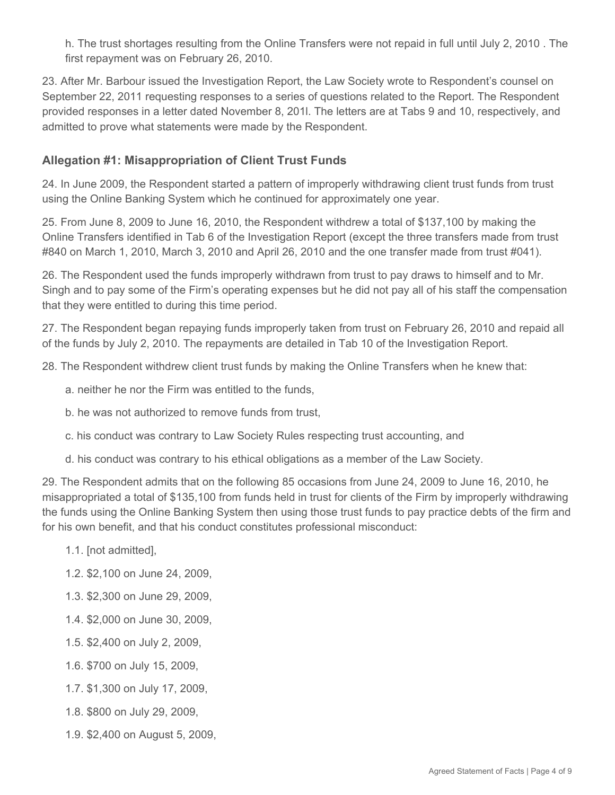h. The trust shortages resulting from the Online Transfers were not repaid in full until July 2, 2010 . The first repayment was on February 26, 2010.

23. After Mr. Barbour issued the Investigation Report, the Law Society wrote to Respondent's counsel on September 22, 2011 requesting responses to a series of questions related to the Report. The Respondent provided responses in a letter dated November 8, 201l. The letters are at Tabs 9 and 10, respectively, and admitted to prove what statements were made by the Respondent.

# **Allegation #1: Misappropriation of Client Trust Funds**

24. In June 2009, the Respondent started a pattern of improperly withdrawing client trust funds from trust using the Online Banking System which he continued for approximately one year.

25. From June 8, 2009 to June 16, 2010, the Respondent withdrew a total of \$137,100 by making the Online Transfers identified in Tab 6 of the Investigation Report (except the three transfers made from trust #840 on March 1, 2010, March 3, 2010 and April 26, 2010 and the one transfer made from trust #041).

26. The Respondent used the funds improperly withdrawn from trust to pay draws to himself and to Mr. Singh and to pay some of the Firm's operating expenses but he did not pay all of his staff the compensation that they were entitled to during this time period.

27. The Respondent began repaying funds improperly taken from trust on February 26, 2010 and repaid all of the funds by July 2, 2010. The repayments are detailed in Tab 10 of the Investigation Report.

28. The Respondent withdrew client trust funds by making the Online Transfers when he knew that:

- a. neither he nor the Firm was entitled to the funds,
- b. he was not authorized to remove funds from trust,
- c. his conduct was contrary to Law Society Rules respecting trust accounting, and
- d. his conduct was contrary to his ethical obligations as a member of the Law Society.

29. The Respondent admits that on the following 85 occasions from June 24, 2009 to June 16, 2010, he misappropriated a total of \$135,100 from funds held in trust for clients of the Firm by improperly withdrawing the funds using the Online Banking System then using those trust funds to pay practice debts of the firm and for his own benefit, and that his conduct constitutes professional misconduct:

- 1.1. [not admitted],
- 1.2. \$2,100 on June 24, 2009,
- 1.3. \$2,300 on June 29, 2009,
- 1.4. \$2,000 on June 30, 2009,
- 1.5. \$2,400 on July 2, 2009,
- 1.6. \$700 on July 15, 2009,
- 1.7. \$1,300 on July 17, 2009,
- 1.8. \$800 on July 29, 2009,
- 1.9. \$2,400 on August 5, 2009,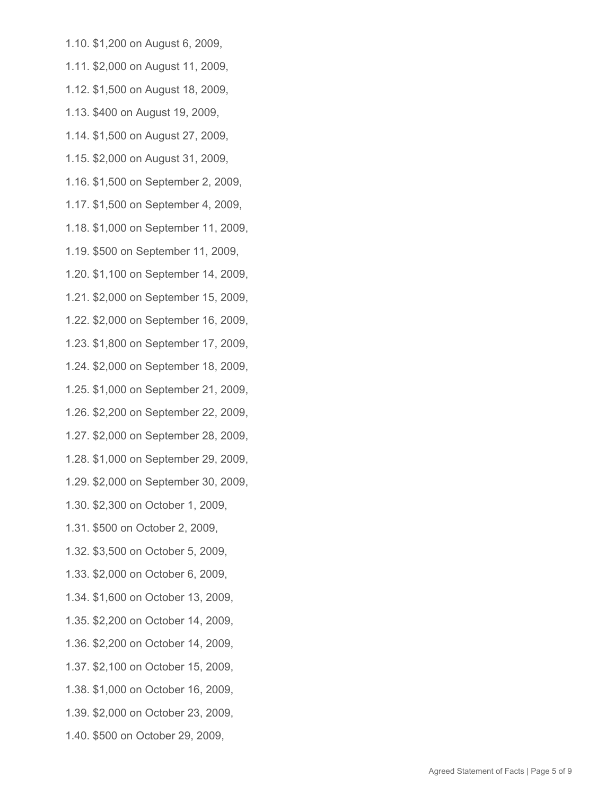- 1.10. \$1,200 on August 6, 2009,
- 1.11. \$2,000 on August 11, 2009,
- 1.12. \$1,500 on August 18, 2009,
- 1.13. \$400 on August 19, 2009,
- 1.14. \$1,500 on August 27, 2009,
- 1.15. \$2,000 on August 31, 2009,
- 1.16. \$1,500 on September 2, 2009,
- 1.17. \$1,500 on September 4, 2009,
- 1.18. \$1,000 on September 11, 2009,
- 1.19. \$500 on September 11, 2009,
- 1.20. \$1,100 on September 14, 2009,
- 1.21. \$2,000 on September 15, 2009,
- 1.22. \$2,000 on September 16, 2009,
- 1.23. \$1,800 on September 17, 2009,
- 1.24. \$2,000 on September 18, 2009,
- 1.25. \$1,000 on September 21, 2009,
- 1.26. \$2,200 on September 22, 2009,
- 1.27. \$2,000 on September 28, 2009,
- 1.28. \$1,000 on September 29, 2009,
- 1.29. \$2,000 on September 30, 2009,
- 1.30. \$2,300 on October 1, 2009,
- 1.31. \$500 on October 2, 2009,
- 1.32. \$3,500 on October 5, 2009,
- 1.33. \$2,000 on October 6, 2009,
- 1.34. \$1,600 on October 13, 2009,
- 1.35. \$2,200 on October 14, 2009,
- 1.36. \$2,200 on October 14, 2009,
- 1.37. \$2,100 on October 15, 2009,
- 1.38. \$1,000 on October 16, 2009,
- 1.39. \$2,000 on October 23, 2009,
- 1.40. \$500 on October 29, 2009,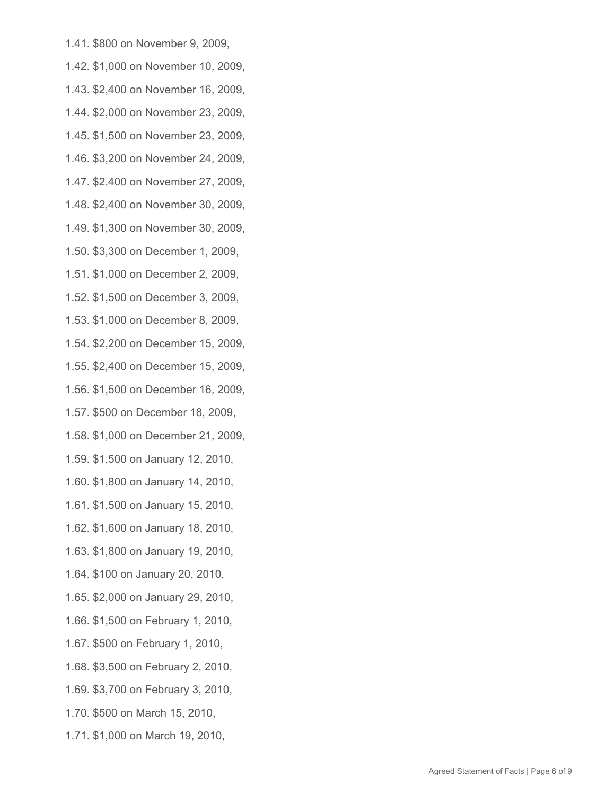- 1.41. \$800 on November 9, 2009,
- 1.42. \$1,000 on November 10, 2009,
- 1.43. \$2,400 on November 16, 2009,
- 1.44. \$2,000 on November 23, 2009,
- 1.45. \$1,500 on November 23, 2009,
- 1.46. \$3,200 on November 24, 2009,
- 1.47. \$2,400 on November 27, 2009,
- 1.48. \$2,400 on November 30, 2009,
- 1.49. \$1,300 on November 30, 2009,
- 1.50. \$3,300 on December 1, 2009,
- 1.51. \$1,000 on December 2, 2009,
- 1.52. \$1,500 on December 3, 2009,
- 1.53. \$1,000 on December 8, 2009,
- 1.54. \$2,200 on December 15, 2009,
- 1.55. \$2,400 on December 15, 2009,
- 1.56. \$1,500 on December 16, 2009,
- 1.57. \$500 on December 18, 2009,
- 1.58. \$1,000 on December 21, 2009,
- 1.59. \$1,500 on January 12, 2010,
- 1.60. \$1,800 on January 14, 2010,
- 1.61. \$1,500 on January 15, 2010,
- 1.62. \$1,600 on January 18, 2010,
- 1.63. \$1,800 on January 19, 2010,
- 1.64. \$100 on January 20, 2010,
- 1.65. \$2,000 on January 29, 2010,
- 1.66. \$1,500 on February 1, 2010,
- 1.67. \$500 on February 1, 2010,
- 1.68. \$3,500 on February 2, 2010,
- 1.69. \$3,700 on February 3, 2010,
- 1.70. \$500 on March 15, 2010,
- 1.71. \$1,000 on March 19, 2010,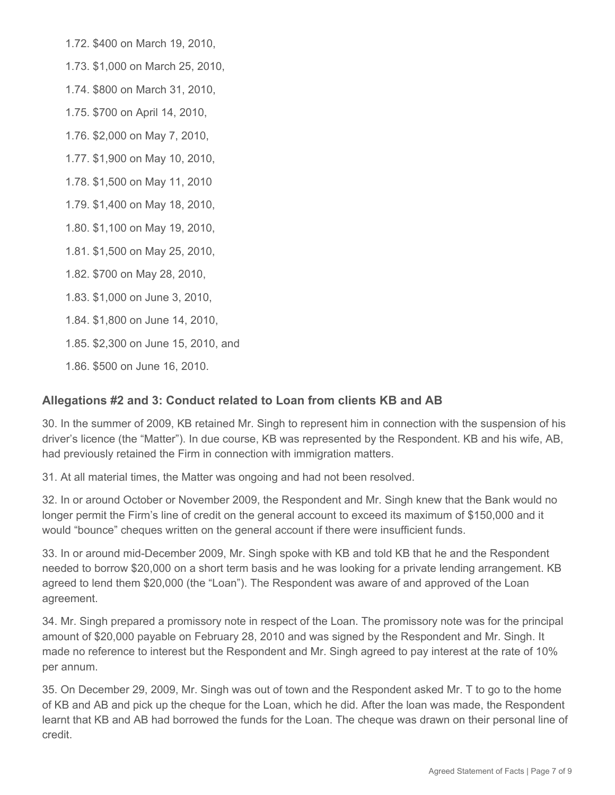1.72. \$400 on March 19, 2010,

1.73. \$1,000 on March 25, 2010,

1.74. \$800 on March 31, 2010,

1.75. \$700 on April 14, 2010,

1.76. \$2,000 on May 7, 2010,

1.77. \$1,900 on May 10, 2010,

1.78. \$1,500 on May 11, 2010

1.79. \$1,400 on May 18, 2010,

1.80. \$1,100 on May 19, 2010,

1.81. \$1,500 on May 25, 2010,

1.82. \$700 on May 28, 2010,

1.83. \$1,000 on June 3, 2010,

1.84. \$1,800 on June 14, 2010,

1.85. \$2,300 on June 15, 2010, and

1.86. \$500 on June 16, 2010.

### **Allegations #2 and 3: Conduct related to Loan from clients KB and AB**

30. In the summer of 2009, KB retained Mr. Singh to represent him in connection with the suspension of his driver's licence (the "Matter"). In due course, KB was represented by the Respondent. KB and his wife, AB, had previously retained the Firm in connection with immigration matters.

31. At all material times, the Matter was ongoing and had not been resolved.

32. In or around October or November 2009, the Respondent and Mr. Singh knew that the Bank would no longer permit the Firm's line of credit on the general account to exceed its maximum of \$150,000 and it would "bounce" cheques written on the general account if there were insufficient funds.

33. In or around mid-December 2009, Mr. Singh spoke with KB and told KB that he and the Respondent needed to borrow \$20,000 on a short term basis and he was looking for a private lending arrangement. KB agreed to lend them \$20,000 (the "Loan"). The Respondent was aware of and approved of the Loan agreement.

34. Mr. Singh prepared a promissory note in respect of the Loan. The promissory note was for the principal amount of \$20,000 payable on February 28, 2010 and was signed by the Respondent and Mr. Singh. It made no reference to interest but the Respondent and Mr. Singh agreed to pay interest at the rate of 10% per annum.

35. On December 29, 2009, Mr. Singh was out of town and the Respondent asked Mr. T to go to the home of KB and AB and pick up the cheque for the Loan, which he did. After the loan was made, the Respondent learnt that KB and AB had borrowed the funds for the Loan. The cheque was drawn on their personal line of credit.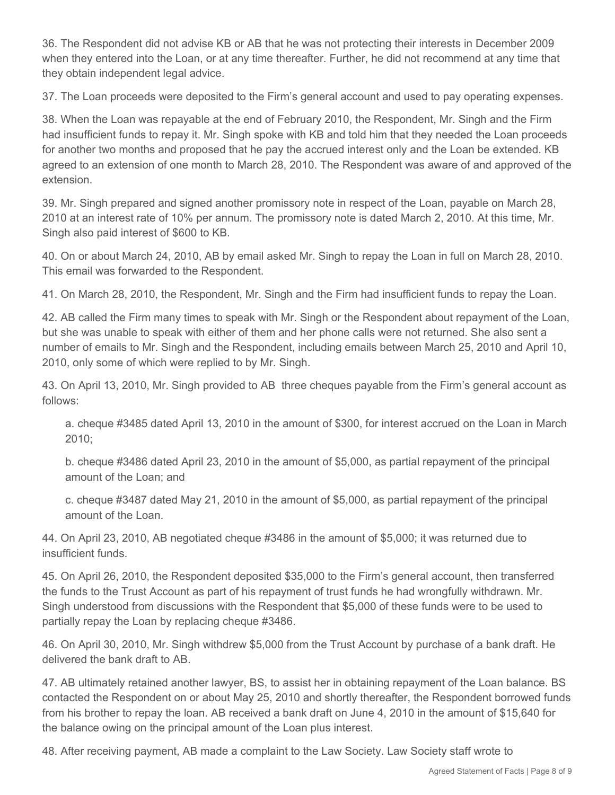36. The Respondent did not advise KB or AB that he was not protecting their interests in December 2009 when they entered into the Loan, or at any time thereafter. Further, he did not recommend at any time that they obtain independent legal advice.

37. The Loan proceeds were deposited to the Firm's general account and used to pay operating expenses.

38. When the Loan was repayable at the end of February 2010, the Respondent, Mr. Singh and the Firm had insufficient funds to repay it. Mr. Singh spoke with KB and told him that they needed the Loan proceeds for another two months and proposed that he pay the accrued interest only and the Loan be extended. KB agreed to an extension of one month to March 28, 2010. The Respondent was aware of and approved of the extension.

39. Mr. Singh prepared and signed another promissory note in respect of the Loan, payable on March 28, 2010 at an interest rate of 10% per annum. The promissory note is dated March 2, 2010. At this time, Mr. Singh also paid interest of \$600 to KB.

40. On or about March 24, 2010, AB by email asked Mr. Singh to repay the Loan in full on March 28, 2010. This email was forwarded to the Respondent.

41. On March 28, 2010, the Respondent, Mr. Singh and the Firm had insufficient funds to repay the Loan.

42. AB called the Firm many times to speak with Mr. Singh or the Respondent about repayment of the Loan, but she was unable to speak with either of them and her phone calls were not returned. She also sent a number of emails to Mr. Singh and the Respondent, including emails between March 25, 2010 and April 10, 2010, only some of which were replied to by Mr. Singh.

43. On April 13, 2010, Mr. Singh provided to AB three cheques payable from the Firm's general account as follows:

a. cheque #3485 dated April 13, 2010 in the amount of \$300, for interest accrued on the Loan in March 2010;

b. cheque #3486 dated April 23, 2010 in the amount of \$5,000, as partial repayment of the principal amount of the Loan; and

c. cheque #3487 dated May 21, 2010 in the amount of \$5,000, as partial repayment of the principal amount of the Loan.

44. On April 23, 2010, AB negotiated cheque #3486 in the amount of \$5,000; it was returned due to insufficient funds.

45. On April 26, 2010, the Respondent deposited \$35,000 to the Firm's general account, then transferred the funds to the Trust Account as part of his repayment of trust funds he had wrongfully withdrawn. Mr. Singh understood from discussions with the Respondent that \$5,000 of these funds were to be used to partially repay the Loan by replacing cheque #3486.

46. On April 30, 2010, Mr. Singh withdrew \$5,000 from the Trust Account by purchase of a bank draft. He delivered the bank draft to AB.

47. AB ultimately retained another lawyer, BS, to assist her in obtaining repayment of the Loan balance. BS contacted the Respondent on or about May 25, 2010 and shortly thereafter, the Respondent borrowed funds from his brother to repay the loan. AB received a bank draft on June 4, 2010 in the amount of \$15,640 for the balance owing on the principal amount of the Loan plus interest.

48. After receiving payment, AB made a complaint to the Law Society. Law Society staff wrote to